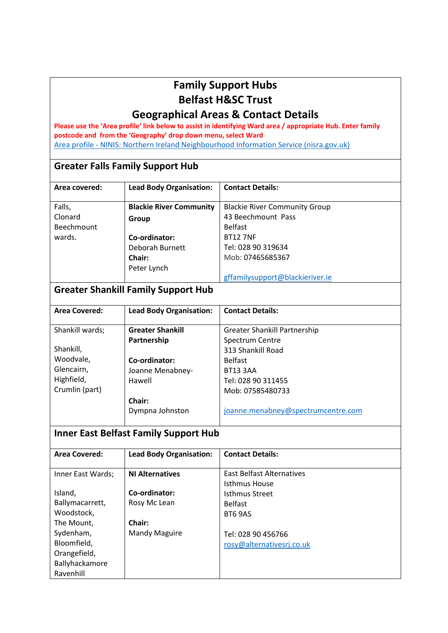### **Family Support Hubs Belfast H&SC Trust**

### **Geographical Areas & Contact Details**

**Please use the 'Area profile' link below to assist in identifying Ward area / appropriate Hub. Enter family postcode and from the 'Geography' drop down menu, select Ward**  Area profile - [NINIS: Northern Ireland Neighbourhood Information Service \(nisra.gov.uk\)](http://www.ninis2.nisra.gov.uk/public/AreaProfile.aspx?Menu=True)

#### **Greater Falls Family Support Hub**

| Area covered: | <b>Lead Body Organisation:</b> | <b>Contact Details:</b>              |
|---------------|--------------------------------|--------------------------------------|
|               |                                |                                      |
| Falls,        | <b>Blackie River Community</b> | <b>Blackie River Community Group</b> |
| Clonard       | Group                          | 43 Beechmount Pass                   |
| Beechmount    |                                | <b>Belfast</b>                       |
| wards.        | Co-ordinator:                  | <b>BT12 7NF</b>                      |
|               | Deborah Burnett                | Tel: 028 90 319634                   |
|               | Chair:                         | Mob: 07465685367                     |
|               | Peter Lynch                    |                                      |
|               |                                | gffamilysupport@blackieriver.ie      |

### **Greater Shankill Family Support Hub**

| <b>Area Covered:</b> |                                | <b>Contact Details:</b>             |
|----------------------|--------------------------------|-------------------------------------|
|                      | <b>Lead Body Organisation:</b> |                                     |
|                      |                                |                                     |
| Shankill wards;      | <b>Greater Shankill</b>        | <b>Greater Shankill Partnership</b> |
|                      | Partnership                    | Spectrum Centre                     |
| Shankill,            |                                | 313 Shankill Road                   |
| Woodvale,            | Co-ordinator:                  | <b>Belfast</b>                      |
| Glencairn,           | Joanne Menabney-               | <b>BT13 3AA</b>                     |
| Highfield,           | Hawell                         | Tel: 028 90 311455                  |
| Crumlin (part)       |                                | Mob: 07585480733                    |
|                      | Chair:                         |                                     |
|                      | Dympna Johnston                | joanne.menabney@spectrumcentre.com  |

### **Inner East Belfast Family Support Hub**

| <b>Area Covered:</b> | <b>Lead Body Organisation:</b> | <b>Contact Details:</b>   |
|----------------------|--------------------------------|---------------------------|
|                      |                                |                           |
| Inner East Wards;    | <b>NI Alternatives</b>         | East Belfast Alternatives |
|                      |                                | Isthmus House             |
| Island,              | Co-ordinator:                  | <b>Isthmus Street</b>     |
| Ballymacarrett,      | Rosy Mc Lean                   | <b>Belfast</b>            |
| Woodstock,           |                                | BT6 9AS                   |
| The Mount.           | Chair:                         |                           |
| Sydenham,            | <b>Mandy Maguire</b>           | Tel: 028 90 456766        |
| Bloomfield,          |                                | rosy@alternativesrj.co.uk |
| Orangefield,         |                                |                           |
| Ballyhackamore       |                                |                           |
| Ravenhill            |                                |                           |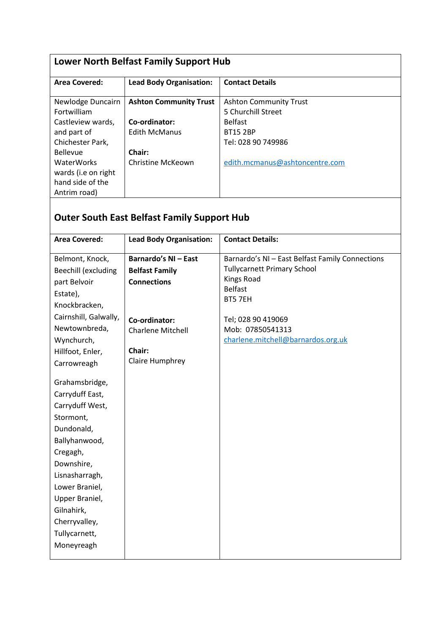| Lower North Belfast Family Support Hub                                                                                                                                      |                                                                                                |                                                                                                                                                  |  |
|-----------------------------------------------------------------------------------------------------------------------------------------------------------------------------|------------------------------------------------------------------------------------------------|--------------------------------------------------------------------------------------------------------------------------------------------------|--|
| <b>Area Covered:</b>                                                                                                                                                        | <b>Lead Body Organisation:</b>                                                                 | <b>Contact Details</b>                                                                                                                           |  |
| Newlodge Duncairn<br>Fortwilliam<br>Castleview wards,<br>and part of<br>Chichester Park,<br><b>Bellevue</b><br><b>WaterWorks</b><br>wards (i.e on right<br>hand side of the | <b>Ashton Community Trust</b><br>Co-ordinator:<br>Edith McManus<br>Chair:<br>Christine McKeown | <b>Ashton Community Trust</b><br>5 Churchill Street<br><b>Belfast</b><br><b>BT15 2BP</b><br>Tel: 028 90 749986<br>edith.mcmanus@ashtoncentre.com |  |
| Antrim road)                                                                                                                                                                |                                                                                                |                                                                                                                                                  |  |

# **Outer South East Belfast Family Support Hub**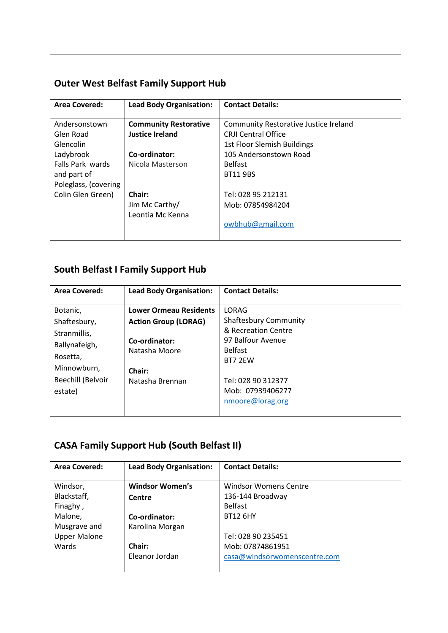## **Outer West Belfast Family Support Hub**

| <b>Area Covered:</b>    | <b>Lead Body Organisation:</b> | <b>Contact Details:</b>                      |
|-------------------------|--------------------------------|----------------------------------------------|
|                         |                                |                                              |
| Andersonstown           | <b>Community Restorative</b>   | <b>Community Restorative Justice Ireland</b> |
| Glen Road               | Justice Ireland                | <b>CRII Central Office</b>                   |
| Glencolin               |                                | 1st Floor Slemish Buildings                  |
| Ladybrook               | Co-ordinator:                  | 105 Andersonstown Road                       |
| <b>Falls Park wards</b> | Nicola Masterson               | <b>Belfast</b>                               |
| and part of             |                                | <b>BT11 9BS</b>                              |
| Poleglass, (covering    |                                |                                              |
| Colin Glen Green)       | Chair:                         | Tel: 028 95 212131                           |
|                         | Jim Mc Carthy/                 | Mob: 07854984204                             |
|                         | Leontia Mc Kenna               |                                              |
|                         |                                | owbhub@gmail.com                             |
|                         |                                |                                              |

### **South Belfast I Family Support Hub**

| <b>Area Covered:</b>     | <b>Lead Body Organisation:</b> | <b>Contact Details:</b>      |
|--------------------------|--------------------------------|------------------------------|
|                          |                                |                              |
| Botanic,                 | <b>Lower Ormeau Residents</b>  | LORAG                        |
| Shaftesbury,             | <b>Action Group (LORAG)</b>    | <b>Shaftesbury Community</b> |
| Stranmillis,             |                                | & Recreation Centre          |
| Ballynafeigh,            | Co-ordinator:                  | 97 Balfour Avenue            |
|                          | Natasha Moore                  | <b>Belfast</b>               |
| Rosetta,                 |                                | BT7 2FW                      |
| Minnowburn,              | Chair:                         |                              |
| <b>Beechill (Belvoir</b> | Natasha Brennan                | Tel: 028 90 312377           |
| estate)                  |                                | Mob: 07939406277             |
|                          |                                | nmoore@lorag.org             |
|                          |                                |                              |

### **CASA Family Support Hub (South Belfast II)**

| <b>Area Covered:</b> | <b>Lead Body Organisation:</b> | <b>Contact Details:</b>      |
|----------------------|--------------------------------|------------------------------|
|                      |                                |                              |
| Windsor,             | <b>Windsor Women's</b>         | <b>Windsor Womens Centre</b> |
| Blackstaff,          | Centre                         | 136-144 Broadway             |
| Finaghy,             |                                | <b>Belfast</b>               |
| Malone,              | Co-ordinator:                  | <b>BT12 6HY</b>              |
| Musgrave and         | Karolina Morgan                |                              |
| <b>Upper Malone</b>  |                                | Tel: 028 90 235451           |
| Wards                | <b>Chair:</b>                  | Mob: 07874861951             |
|                      | Eleanor Jordan                 | casa@windsorwomenscentre.com |
|                      |                                |                              |